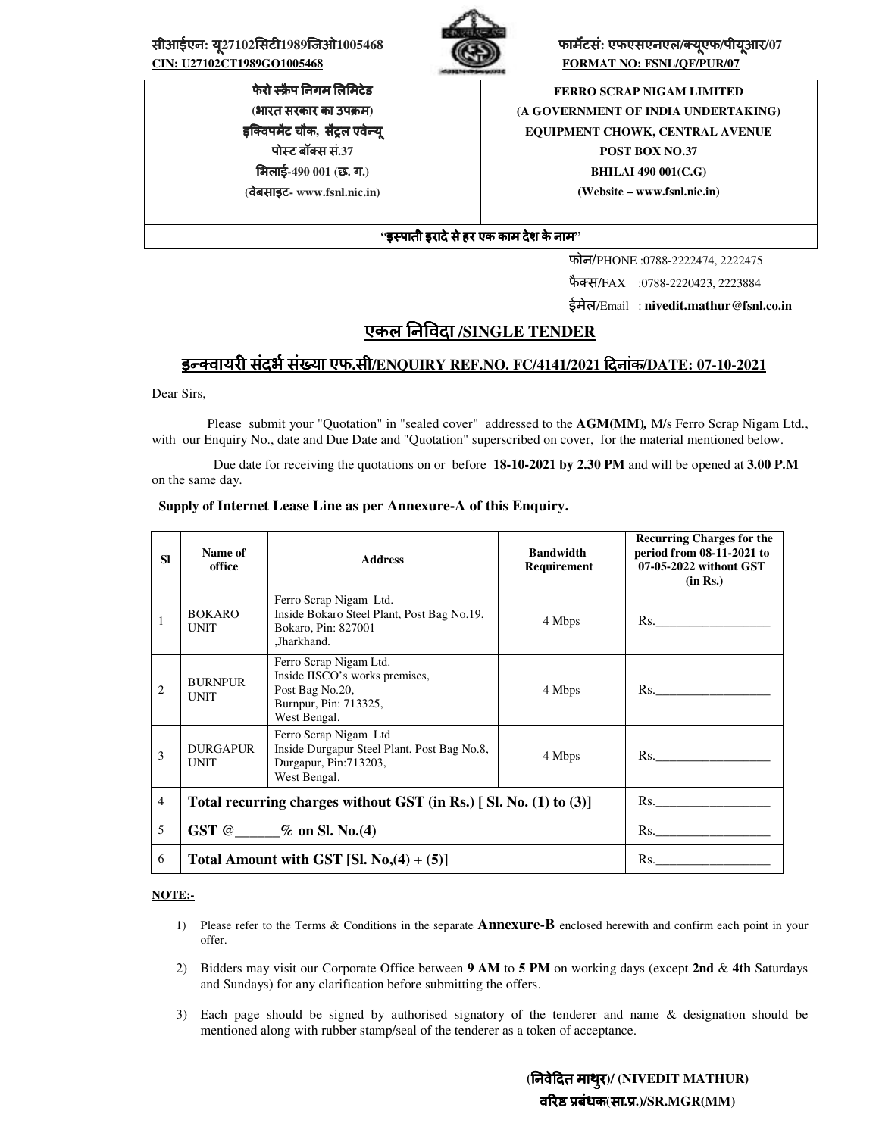सीआईएन: यू27102सिटी1989जिओ1005468 **कार्यटर्स: एफएसएनएल/क्यूएफ/पीयूआर/07**<br>CIN: U27102CT1989GO1005468 **bigger and the community of the CONTROL FORMAT NO: FSNL/QF/PUR/07** 



**FORMAT NO: FSNL/QF/PUR/07** 

फेरो स्क्रैप निगम लिमिटेड **(**भारत सरकार का उपम**)**  इक्विपर्मेट चौक, सेंट्रल एवेन्यू पोट बॉस सं**.37**  भलाई**-490 001 (**छ**.** ग**.) (**वेबसाइट**- www.fsnl.nic.in)** 

**FERRO SCRAP NIGAM LIMITED (A GOVERNMENT OF INDIA UNDERTAKING) EQUIPMENT CHOWK, CENTRAL AVENUE POST BOX NO.37 BHILAI 490 001(C.G) (Website – www.fsnl.nic.in)** 

## **"**इपाती इरादेसेहर एक काम देश केनाम**"**

फोन/PHONE :0788-2222474, 2222475

फैक्स/FAX :0788-2220423, 2223884

ईमेल/Email : **nivedit.mathur@fsnl.co.in**

# एकल न1वदा **/SINGLE TENDER**

# इन्क्वायरी संदर्भ संख्या एफ.सी/ENQUIRY REF.NO. FC/4141/2021 दिनांक/DATE: 07-10-2021

Dear Sirs,

 Please submit your "Quotation" in "sealed cover" addressed to the **AGM(MM)***,* M/s Ferro Scrap Nigam Ltd., with our Enquiry No., date and Due Date and "Quotation" superscribed on cover, for the material mentioned below.

 Due date for receiving the quotations on or before **18-10-2021 by 2.30 PM** and will be opened at **3.00 P.M** on the same day.

| <b>SI</b>      | Name of<br>office              | <b>Address</b>                                                                                                       | <b>Bandwidth</b><br>Requirement | <b>Recurring Charges for the</b><br>period from 08-11-2021 to<br>07-05-2022 without GST<br>(in Rs.) |
|----------------|--------------------------------|----------------------------------------------------------------------------------------------------------------------|---------------------------------|-----------------------------------------------------------------------------------------------------|
| 1              | <b>BOKARO</b><br><b>UNIT</b>   | Ferro Scrap Nigam Ltd.<br>Inside Bokaro Steel Plant, Post Bag No.19,<br>Bokaro, Pin: 827001<br>,Jharkhand.           | 4 Mbps                          | Rs.                                                                                                 |
| $\overline{2}$ | <b>BURNPUR</b><br><b>UNIT</b>  | Ferro Scrap Nigam Ltd.<br>Inside IISCO's works premises,<br>Post Bag No.20,<br>Burnpur, Pin: 713325,<br>West Bengal. | 4 Mbps                          | $\mathbf{Rs.}$                                                                                      |
| 3              | <b>DURGAPUR</b><br><b>UNIT</b> | Ferro Scrap Nigam Ltd<br>Inside Durgapur Steel Plant, Post Bag No.8,<br>Durgapur, Pin: 713203,<br>West Bengal.       | 4 Mbps                          | Rs.                                                                                                 |
| $\overline{4}$ |                                | Total recurring charges without GST (in Rs.) [Sl. No. (1) to (3)]                                                    |                                 | Rs.                                                                                                 |
| 5              |                                | GST $@$ - % on Sl. No. (4)                                                                                           |                                 | $\mathbf{Rs.}$                                                                                      |
| 6              |                                | Total Amount with GST [Sl. $No(4) + (5)$ ]                                                                           |                                 | $\mathbf{R}$ s.                                                                                     |

#### **Supply of Internet Lease Line as per Annexure-A of this Enquiry.**

#### **NOTE:-**

- 1) Please refer to the Terms & Conditions in the separate **Annexure-B** enclosed herewith and confirm each point in your offer.
- 2) Bidders may visit our Corporate Office between **9 AM** to **5 PM** on working days (except **2nd** & **4th** Saturdays and Sundays) for any clarification before submitting the offers.
- 3) Each page should be signed by authorised signatory of the tenderer and name & designation should be mentioned along with rubber stamp/seal of the tenderer as a token of acceptance.

 **(**नवे4दत माथरु**)/ (NIVEDIT MATHUR)** व7र8 9बंधक**(**सा**.**9**.)/SR.MGR(MM)**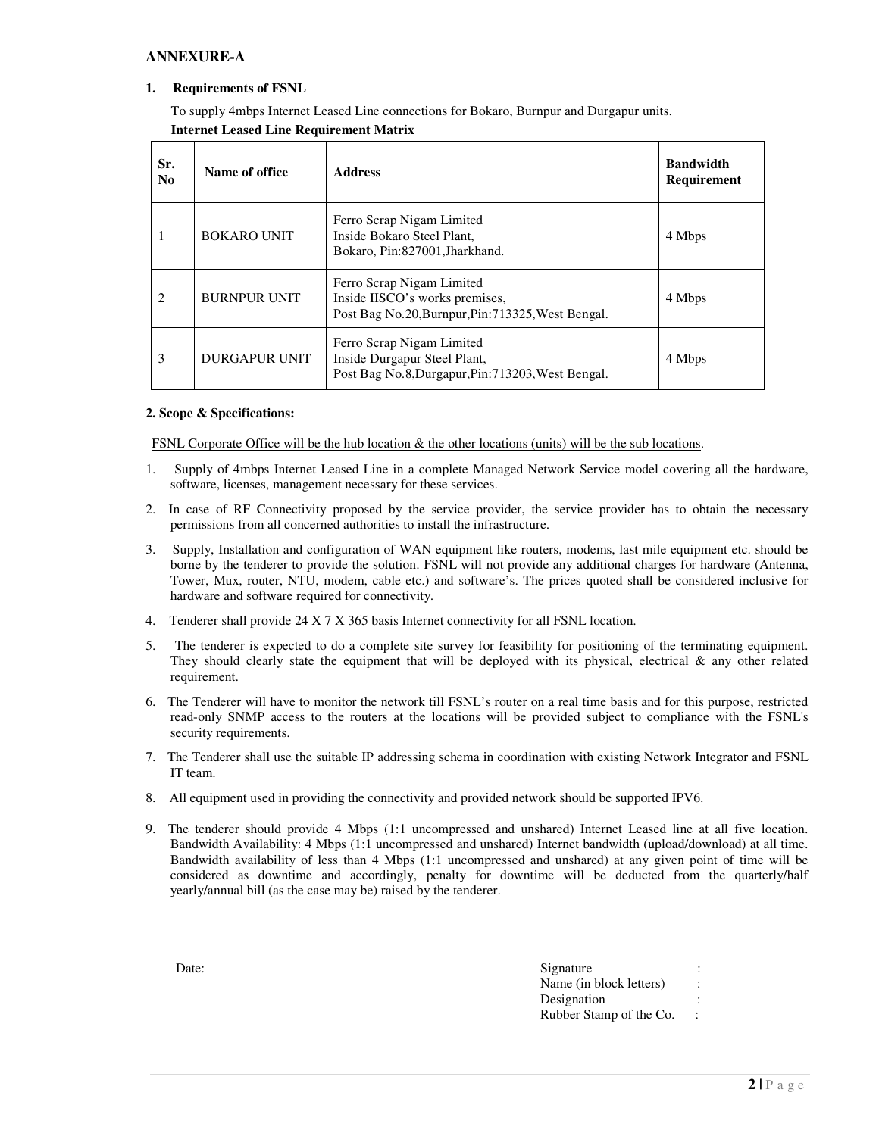## **ANNEXURE-A**

## **1. Requirements of FSNL**

To supply 4mbps Internet Leased Line connections for Bokaro, Burnpur and Durgapur units. **Internet Leased Line Requirement Matrix** 

| Sr.<br>N <sub>0</sub> | Name of office      | <b>Address</b>                                                                                                    | <b>Bandwidth</b><br>Requirement |
|-----------------------|---------------------|-------------------------------------------------------------------------------------------------------------------|---------------------------------|
| 1                     | <b>BOKARO UNIT</b>  | Ferro Scrap Nigam Limited<br>Inside Bokaro Steel Plant.<br>Bokaro, Pin:827001, Jharkhand.                         | 4 Mbps                          |
| $\overline{c}$        | <b>BURNPUR UNIT</b> | Ferro Scrap Nigam Limited<br>Inside IISCO's works premises,<br>Post Bag No.20, Burnpur, Pin: 713325, West Bengal. | 4 Mbps                          |
| 3                     | DURGAPUR UNIT       | Ferro Scrap Nigam Limited<br>Inside Durgapur Steel Plant,<br>Post Bag No.8, Durgapur, Pin: 713203, West Bengal.   | 4 Mbps                          |

#### **2. Scope & Specifications:**

FSNL Corporate Office will be the hub location & the other locations (units) will be the sub locations.

- 1. Supply of 4mbps Internet Leased Line in a complete Managed Network Service model covering all the hardware, software, licenses, management necessary for these services.
- 2. In case of RF Connectivity proposed by the service provider, the service provider has to obtain the necessary permissions from all concerned authorities to install the infrastructure.
- 3. Supply, Installation and configuration of WAN equipment like routers, modems, last mile equipment etc. should be borne by the tenderer to provide the solution. FSNL will not provide any additional charges for hardware (Antenna, Tower, Mux, router, NTU, modem, cable etc.) and software's. The prices quoted shall be considered inclusive for hardware and software required for connectivity.
- 4. Tenderer shall provide 24 X 7 X 365 basis Internet connectivity for all FSNL location.
- 5. The tenderer is expected to do a complete site survey for feasibility for positioning of the terminating equipment. They should clearly state the equipment that will be deployed with its physical, electrical  $\&$  any other related requirement.
- 6. The Tenderer will have to monitor the network till FSNL's router on a real time basis and for this purpose, restricted read-only SNMP access to the routers at the locations will be provided subject to compliance with the FSNL's security requirements.
- 7. The Tenderer shall use the suitable IP addressing schema in coordination with existing Network Integrator and FSNL IT team.
- 8. All equipment used in providing the connectivity and provided network should be supported IPV6.
- 9. The tenderer should provide 4 Mbps (1:1 uncompressed and unshared) Internet Leased line at all five location. Bandwidth Availability: 4 Mbps (1:1 uncompressed and unshared) Internet bandwidth (upload/download) at all time. Bandwidth availability of less than 4 Mbps (1:1 uncompressed and unshared) at any given point of time will be considered as downtime and accordingly, penalty for downtime will be deducted from the quarterly/half yearly/annual bill (as the case may be) raised by the tenderer.

| Date: | Signature                                       |
|-------|-------------------------------------------------|
|       | Name (in block letters)<br>$\ddot{\phantom{a}}$ |
|       | Designation                                     |
|       | Rubber Stamp of the Co.                         |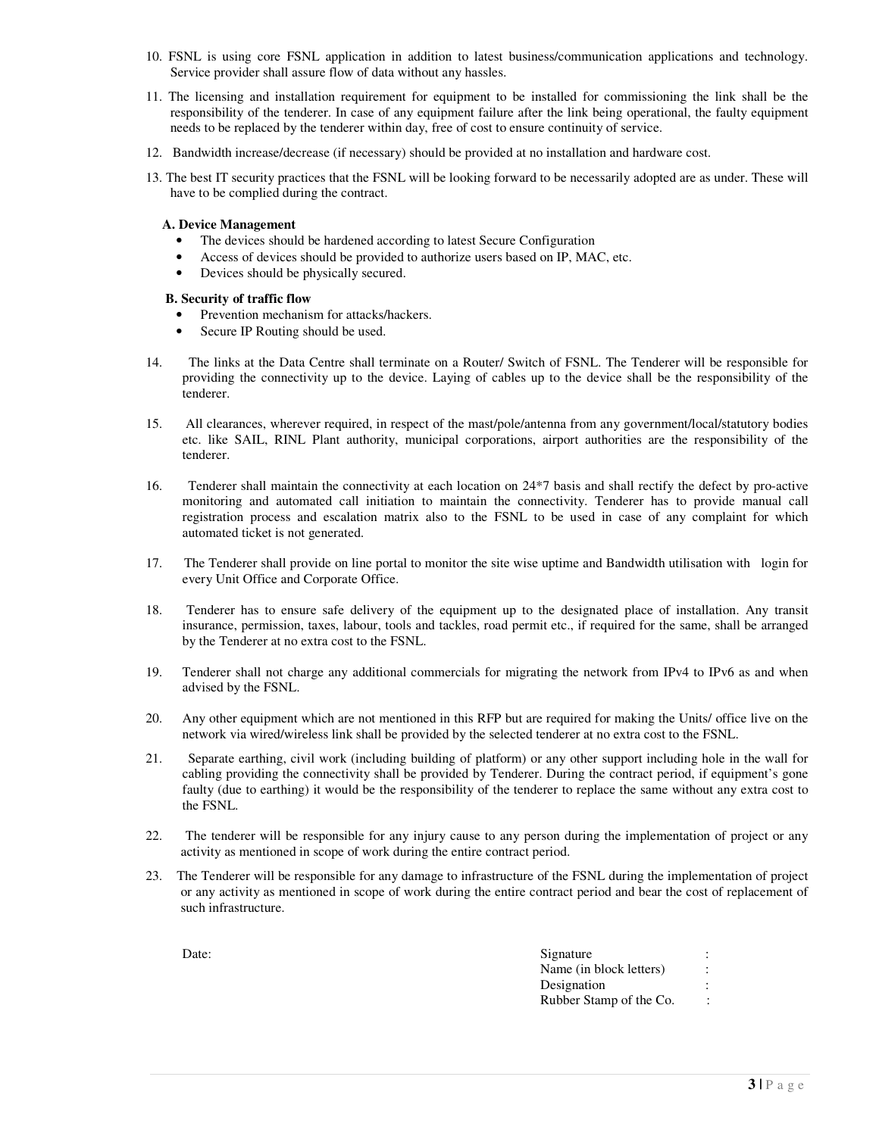- 10. FSNL is using core FSNL application in addition to latest business/communication applications and technology. Service provider shall assure flow of data without any hassles.
- 11. The licensing and installation requirement for equipment to be installed for commissioning the link shall be the responsibility of the tenderer. In case of any equipment failure after the link being operational, the faulty equipment needs to be replaced by the tenderer within day, free of cost to ensure continuity of service.
- 12. Bandwidth increase/decrease (if necessary) should be provided at no installation and hardware cost.
- 13. The best IT security practices that the FSNL will be looking forward to be necessarily adopted are as under. These will have to be complied during the contract.

#### **A. Device Management**

- The devices should be hardened according to latest Secure Configuration
- Access of devices should be provided to authorize users based on IP, MAC, etc.
- Devices should be physically secured.

#### **B. Security of traffic flow**

- Prevention mechanism for attacks/hackers.
- Secure IP Routing should be used.
- 14. The links at the Data Centre shall terminate on a Router/ Switch of FSNL. The Tenderer will be responsible for providing the connectivity up to the device. Laying of cables up to the device shall be the responsibility of the tenderer.
- 15. All clearances, wherever required, in respect of the mast/pole/antenna from any government/local/statutory bodies etc. like SAIL, RINL Plant authority, municipal corporations, airport authorities are the responsibility of the tenderer.
- 16. Tenderer shall maintain the connectivity at each location on 24\*7 basis and shall rectify the defect by pro-active monitoring and automated call initiation to maintain the connectivity. Tenderer has to provide manual call registration process and escalation matrix also to the FSNL to be used in case of any complaint for which automated ticket is not generated.
- 17. The Tenderer shall provide on line portal to monitor the site wise uptime and Bandwidth utilisation with login for every Unit Office and Corporate Office.
- 18. Tenderer has to ensure safe delivery of the equipment up to the designated place of installation. Any transit insurance, permission, taxes, labour, tools and tackles, road permit etc., if required for the same, shall be arranged by the Tenderer at no extra cost to the FSNL.
- 19. Tenderer shall not charge any additional commercials for migrating the network from IPv4 to IPv6 as and when advised by the FSNL.
- 20. Any other equipment which are not mentioned in this RFP but are required for making the Units/ office live on the network via wired/wireless link shall be provided by the selected tenderer at no extra cost to the FSNL.
- 21. Separate earthing, civil work (including building of platform) or any other support including hole in the wall for cabling providing the connectivity shall be provided by Tenderer. During the contract period, if equipment's gone faulty (due to earthing) it would be the responsibility of the tenderer to replace the same without any extra cost to the FSNL.
- 22. The tenderer will be responsible for any injury cause to any person during the implementation of project or any activity as mentioned in scope of work during the entire contract period.
- 23. The Tenderer will be responsible for any damage to infrastructure of the FSNL during the implementation of project or any activity as mentioned in scope of work during the entire contract period and bear the cost of replacement of such infrastructure.

| Date: | Signature<br>$\cdot$                            |
|-------|-------------------------------------------------|
|       | Name (in block letters)<br>$\ddot{\phantom{a}}$ |
|       | Designation                                     |
|       | Rubber Stamp of the Co.<br>$\bullet$            |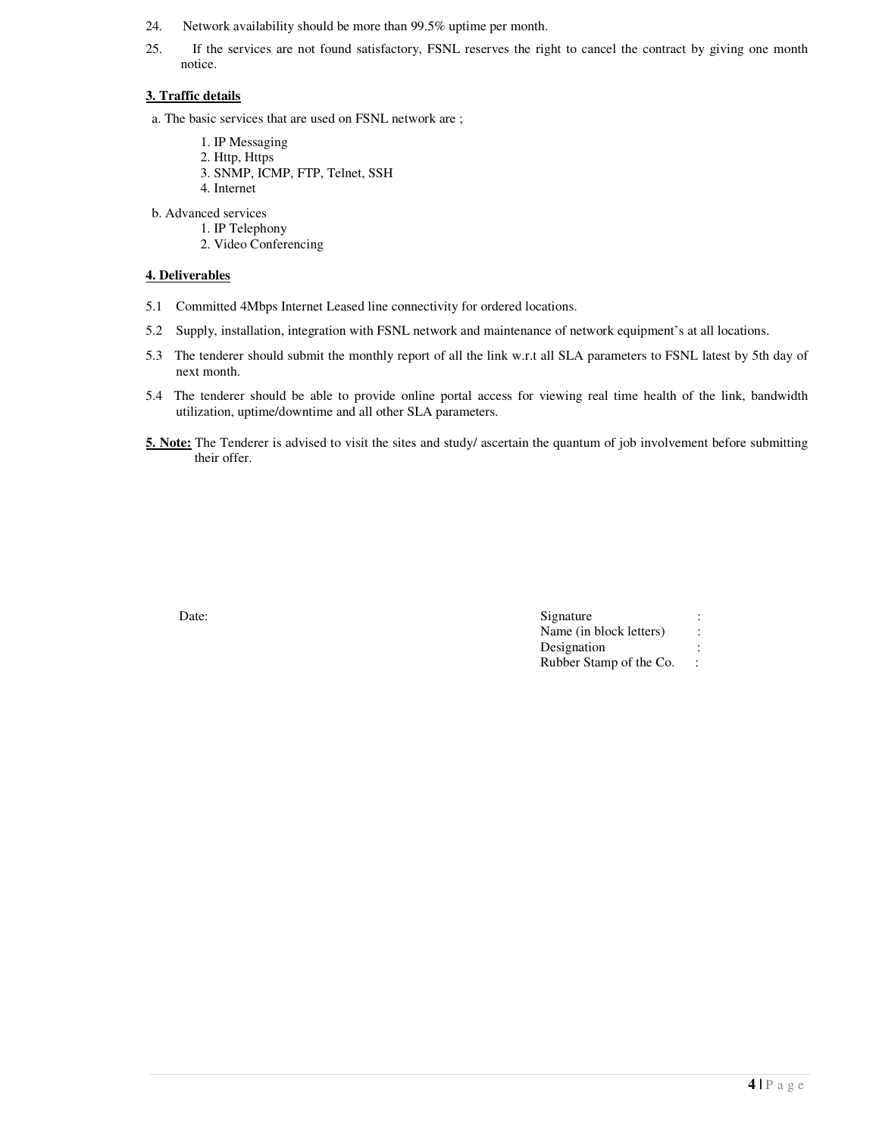- 24. Network availability should be more than 99.5% uptime per month.
- 25. If the services are not found satisfactory, FSNL reserves the right to cancel the contract by giving one month notice.

## **3. Traffic details**

- a. The basic services that are used on FSNL network are ;
	- 1. IP Messaging
	- 2. Http, Https
	- 3. SNMP, ICMP, FTP, Telnet, SSH
	- 4. Internet
- b. Advanced services
	- 1. IP Telephony
		- 2. Video Conferencing

## **4. Deliverables**

- 5.1 Committed 4Mbps Internet Leased line connectivity for ordered locations.
- 5.2 Supply, installation, integration with FSNL network and maintenance of network equipment's at all locations.
- 5.3 The tenderer should submit the monthly report of all the link w.r.t all SLA parameters to FSNL latest by 5th day of next month.
- 5.4 The tenderer should be able to provide online portal access for viewing real time health of the link, bandwidth utilization, uptime/downtime and all other SLA parameters.
- **5. Note:** The Tenderer is advised to visit the sites and study/ ascertain the quantum of job involvement before submitting their offer.

| Date: | Signature               |                |
|-------|-------------------------|----------------|
|       | Name (in block letters) | $\ddot{\cdot}$ |
|       | Designation             |                |
|       | Rubber Stamp of the Co. |                |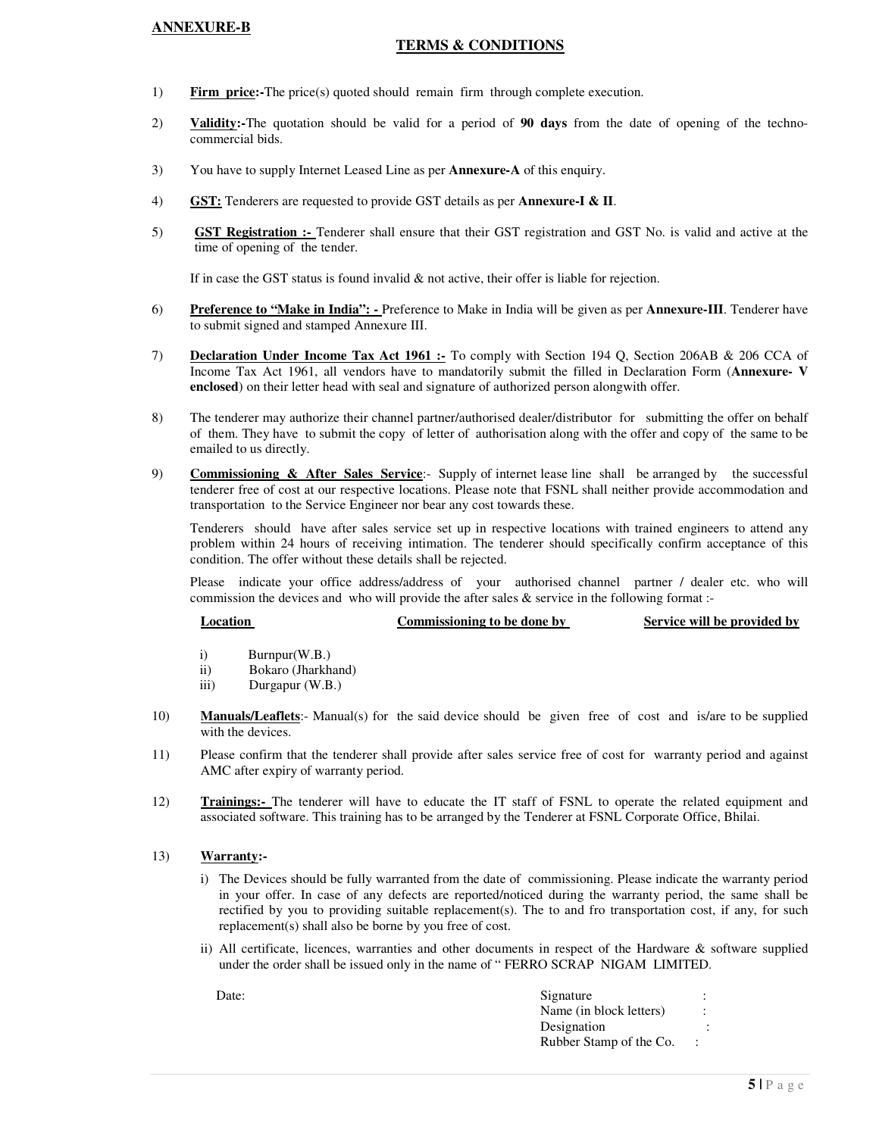## **ANNEXURE-B**

## **TERMS & CONDITIONS**

- 1) **Firm price:-**The price(s) quoted should remain firm through complete execution.
- 2) **Validity:-**The quotation should be valid for a period of **90 days** from the date of opening of the technocommercial bids.
- 3) You have to supply Internet Leased Line as per **Annexure-A** of this enquiry.
- 4) **GST:** Tenderers are requested to provide GST details as per **Annexure-I & II**.
- 5) **GST Registration :-** Tenderer shall ensure that their GST registration and GST No. is valid and active at the time of opening of the tender.

If in case the GST status is found invalid  $\&$  not active, their offer is liable for rejection.

- 6) **Preference to "Make in India":** Preference to Make in India will be given as per **Annexure-III**. Tenderer have to submit signed and stamped Annexure III.
- 7) **Declaration Under Income Tax Act 1961 :-** To comply with Section 194 Q, Section 206AB & 206 CCA of Income Tax Act 1961, all vendors have to mandatorily submit the filled in Declaration Form (**Annexure- V enclosed**) on their letter head with seal and signature of authorized person alongwith offer.
- 8) The tenderer may authorize their channel partner/authorised dealer/distributor for submitting the offer on behalf of them. They have to submit the copy of letter of authorisation along with the offer and copy of the same to be emailed to us directly.
- 9) **Commissioning & After Sales Service**:- Supply of internet lease line shall be arranged by the successful tenderer free of cost at our respective locations. Please note that FSNL shall neither provide accommodation and transportation to the Service Engineer nor bear any cost towards these.

Tenderers should have after sales service set up in respective locations with trained engineers to attend any problem within 24 hours of receiving intimation. The tenderer should specifically confirm acceptance of this condition. The offer without these details shall be rejected.

Please indicate your office address/address of your authorised channel partner / dealer etc. who will commission the devices and who will provide the after sales & service in the following format :-

# **<u>Commissioning to be done by Service will be provided by</u> the service service will be provided by**  $\frac{1}{2}$

- i) Burnpur(W.B.)
- ii) Bokaro (Jharkhand)
- iii) Durgapur (W.B.)
- 10) **Manuals/Leaflets**:- Manual(s) for the said device should be given free of cost and is/are to be supplied with the devices.
- 11) Please confirm that the tenderer shall provide after sales service free of cost for warranty period and against AMC after expiry of warranty period.
- 12) **Trainings:-** The tenderer will have to educate the IT staff of FSNL to operate the related equipment and associated software. This training has to be arranged by the Tenderer at FSNL Corporate Office, Bhilai.

#### 13) **Warranty:-**

- i) The Devices should be fully warranted from the date of commissioning. Please indicate the warranty period in your offer. In case of any defects are reported/noticed during the warranty period, the same shall be rectified by you to providing suitable replacement(s). The to and fro transportation cost, if any, for such replacement(s) shall also be borne by you free of cost.
- ii) All certificate, licences, warranties and other documents in respect of the Hardware & software supplied under the order shall be issued only in the name of " FERRO SCRAP NIGAM LIMITED.

| Date: | Signature               |  |
|-------|-------------------------|--|
|       | Name (in block letters) |  |
|       | Designation             |  |
|       | Rubber Stamp of the Co. |  |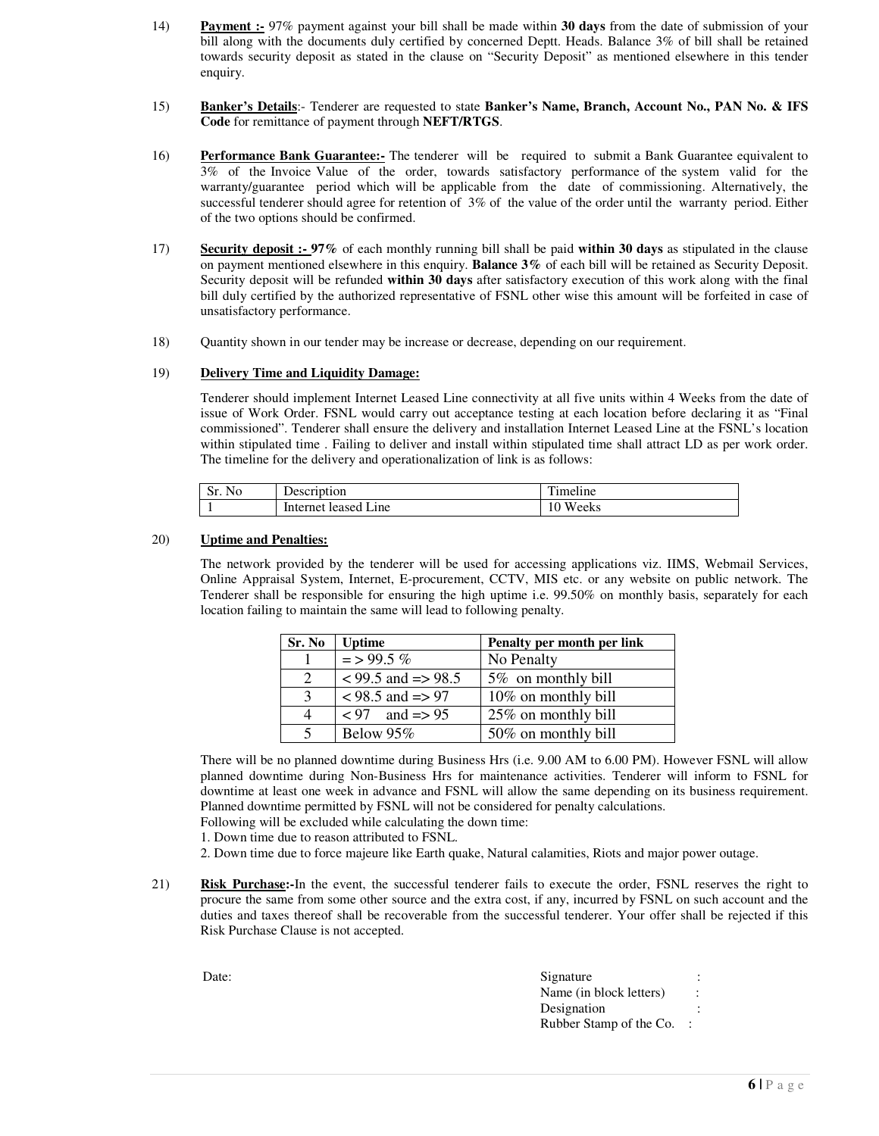- 14) **Payment :-** 97% payment against your bill shall be made within **30 days** from the date of submission of your bill along with the documents duly certified by concerned Deptt. Heads. Balance 3% of bill shall be retained towards security deposit as stated in the clause on "Security Deposit" as mentioned elsewhere in this tender enquiry.
- 15) **Banker's Details**:- Tenderer are requested to state **Banker's Name, Branch, Account No., PAN No. & IFS Code** for remittance of payment through **NEFT/RTGS**.
- 16) **Performance Bank Guarantee:-** The tenderer will be required to submit a Bank Guarantee equivalent to 3% of the Invoice Value of the order, towards satisfactory performance of the system valid for the warranty/guarantee period which will be applicable from the date of commissioning. Alternatively, the successful tenderer should agree for retention of 3% of the value of the order until the warranty period. Either of the two options should be confirmed.
- 17) **Security deposit :- 97%** of each monthly running bill shall be paid **within 30 days** as stipulated in the clause on payment mentioned elsewhere in this enquiry. **Balance 3%** of each bill will be retained as Security Deposit. Security deposit will be refunded **within 30 days** after satisfactory execution of this work along with the final bill duly certified by the authorized representative of FSNL other wise this amount will be forfeited in case of unsatisfactory performance.
- 18) Quantity shown in our tender may be increase or decrease, depending on our requirement.

#### 19) **Delivery Time and Liquidity Damage:**

Tenderer should implement Internet Leased Line connectivity at all five units within 4 Weeks from the date of issue of Work Order. FSNL would carry out acceptance testing at each location before declaring it as "Final commissioned". Tenderer shall ensure the delivery and installation Internet Leased Line at the FSNL's location within stipulated time . Failing to deliver and install within stipulated time shall attract LD as per work order. The timeline for the delivery and operationalization of link is as follows:

| N <sub>0</sub><br>51. P | $\overline{\phantom{a}}$<br>Description | $\cdot$ $\cdot$<br>$\mathbf{r}$<br>meline |
|-------------------------|-----------------------------------------|-------------------------------------------|
|                         | Internet.<br>Line<br>leased             | weeks<br>U                                |

#### 20) **Uptime and Penalties:**

The network provided by the tenderer will be used for accessing applications viz. IIMS, Webmail Services, Online Appraisal System, Internet, E-procurement, CCTV, MIS etc. or any website on public network. The Tenderer shall be responsible for ensuring the high uptime i.e. 99.50% on monthly basis, separately for each location failing to maintain the same will lead to following penalty.

| Sr. No                      | <b>Uptime</b>               | Penalty per month per link |
|-----------------------------|-----------------------------|----------------------------|
|                             | $=$ > 99.5 %                | No Penalty                 |
| $\mathcal{D}_{\mathcal{L}}$ | $<$ 99.5 and $\approx$ 98.5 | 5% on monthly bill         |
| 3                           | $<$ 98.5 and $\approx$ 97   | 10% on monthly bill        |
|                             | $< 97$ and $\approx 95$     | 25% on monthly bill        |
|                             | Below $95\%$                | 50% on monthly bill        |

There will be no planned downtime during Business Hrs (i.e. 9.00 AM to 6.00 PM). However FSNL will allow planned downtime during Non-Business Hrs for maintenance activities. Tenderer will inform to FSNL for downtime at least one week in advance and FSNL will allow the same depending on its business requirement. Planned downtime permitted by FSNL will not be considered for penalty calculations. Following will be excluded while calculating the down time:

1. Down time due to reason attributed to FSNL.

2. Down time due to force majeure like Earth quake, Natural calamities, Riots and major power outage.

21) **Risk Purchase:-**In the event, the successful tenderer fails to execute the order, FSNL reserves the right to procure the same from some other source and the extra cost, if any, incurred by FSNL on such account and the duties and taxes thereof shall be recoverable from the successful tenderer. Your offer shall be rejected if this Risk Purchase Clause is not accepted.

| Date: | Signature                 |  |
|-------|---------------------------|--|
|       | Name (in block letters)   |  |
|       | Designation               |  |
|       | Rubber Stamp of the Co. : |  |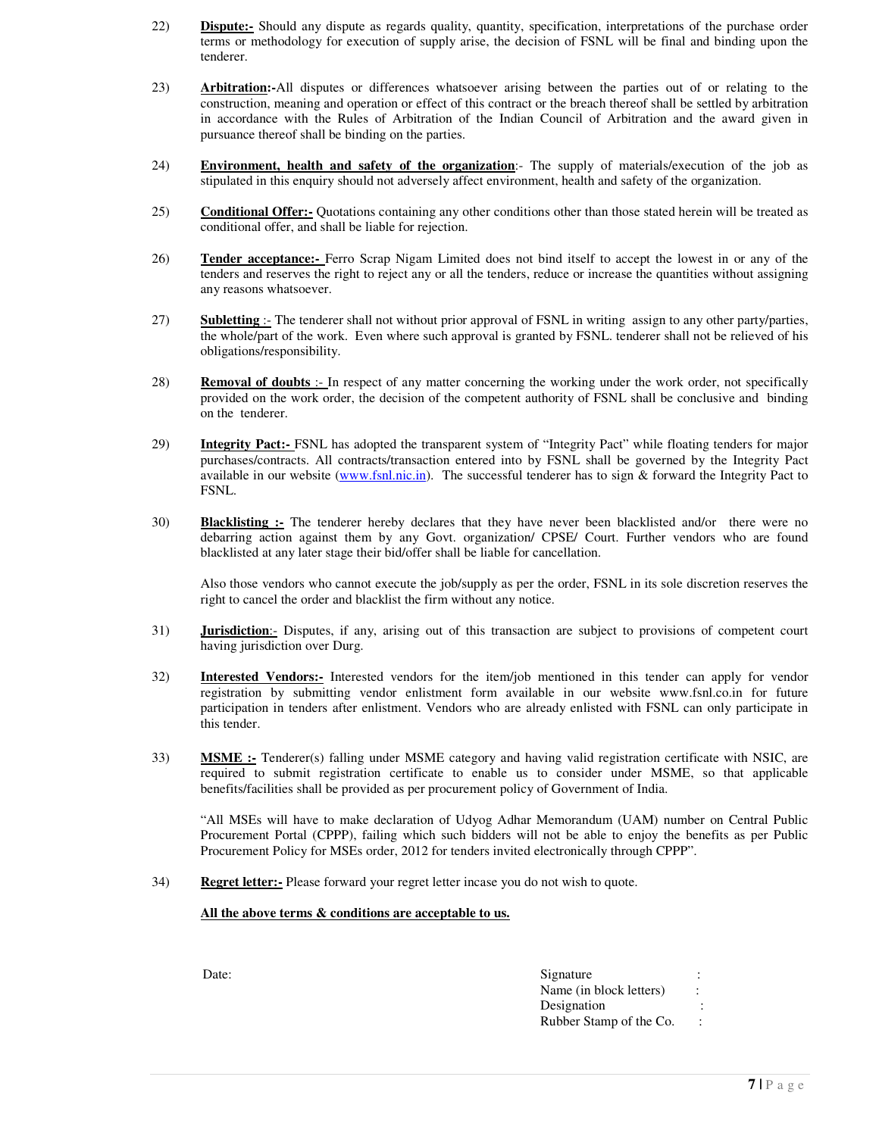- 22) **Dispute:-** Should any dispute as regards quality, quantity, specification, interpretations of the purchase order terms or methodology for execution of supply arise, the decision of FSNL will be final and binding upon the tenderer.
- 23) **Arbitration:-**All disputes or differences whatsoever arising between the parties out of or relating to the construction, meaning and operation or effect of this contract or the breach thereof shall be settled by arbitration in accordance with the Rules of Arbitration of the Indian Council of Arbitration and the award given in pursuance thereof shall be binding on the parties.
- 24) **Environment, health and safety of the organization**:- The supply of materials/execution of the job as stipulated in this enquiry should not adversely affect environment, health and safety of the organization.
- 25) **Conditional Offer:-** Quotations containing any other conditions other than those stated herein will be treated as conditional offer, and shall be liable for rejection.
- 26) **Tender acceptance:-** Ferro Scrap Nigam Limited does not bind itself to accept the lowest in or any of the tenders and reserves the right to reject any or all the tenders, reduce or increase the quantities without assigning any reasons whatsoever.
- 27) **Subletting** :- The tenderer shall not without prior approval of FSNL in writing assign to any other party/parties, the whole/part of the work. Even where such approval is granted by FSNL. tenderer shall not be relieved of his obligations/responsibility.
- 28) **Removal of doubts** :- In respect of any matter concerning the working under the work order, not specifically provided on the work order, the decision of the competent authority of FSNL shall be conclusive and binding on the tenderer.
- 29) **Integrity Pact:-** FSNL has adopted the transparent system of "Integrity Pact" while floating tenders for major purchases/contracts. All contracts/transaction entered into by FSNL shall be governed by the Integrity Pact available in our website (www.fsnl.nic.in). The successful tenderer has to sign  $\&$  forward the Integrity Pact to FSNL.
- 30) **Blacklisting :-** The tenderer hereby declares that they have never been blacklisted and/or there were no debarring action against them by any Govt. organization/ CPSE/ Court. Further vendors who are found blacklisted at any later stage their bid/offer shall be liable for cancellation.

Also those vendors who cannot execute the job/supply as per the order, FSNL in its sole discretion reserves the right to cancel the order and blacklist the firm without any notice.

- 31) **Jurisdiction**:- Disputes, if any, arising out of this transaction are subject to provisions of competent court having jurisdiction over Durg.
- 32) **Interested Vendors:-** Interested vendors for the item/job mentioned in this tender can apply for vendor registration by submitting vendor enlistment form available in our website www.fsnl.co.in for future participation in tenders after enlistment. Vendors who are already enlisted with FSNL can only participate in this tender.
- 33) **MSME :-** Tenderer(s) falling under MSME category and having valid registration certificate with NSIC, are required to submit registration certificate to enable us to consider under MSME, so that applicable benefits/facilities shall be provided as per procurement policy of Government of India.

 "All MSEs will have to make declaration of Udyog Adhar Memorandum (UAM) number on Central Public Procurement Portal (CPPP), failing which such bidders will not be able to enjoy the benefits as per Public Procurement Policy for MSEs order, 2012 for tenders invited electronically through CPPP".

34) **Regret letter:-** Please forward your regret letter incase you do not wish to quote.

#### **All the above terms & conditions are acceptable to us.**

| Date: | Signature               |           |
|-------|-------------------------|-----------|
|       | Name (in block letters) |           |
|       | Designation             |           |
|       | Rubber Stamp of the Co. | $\cdot$ . |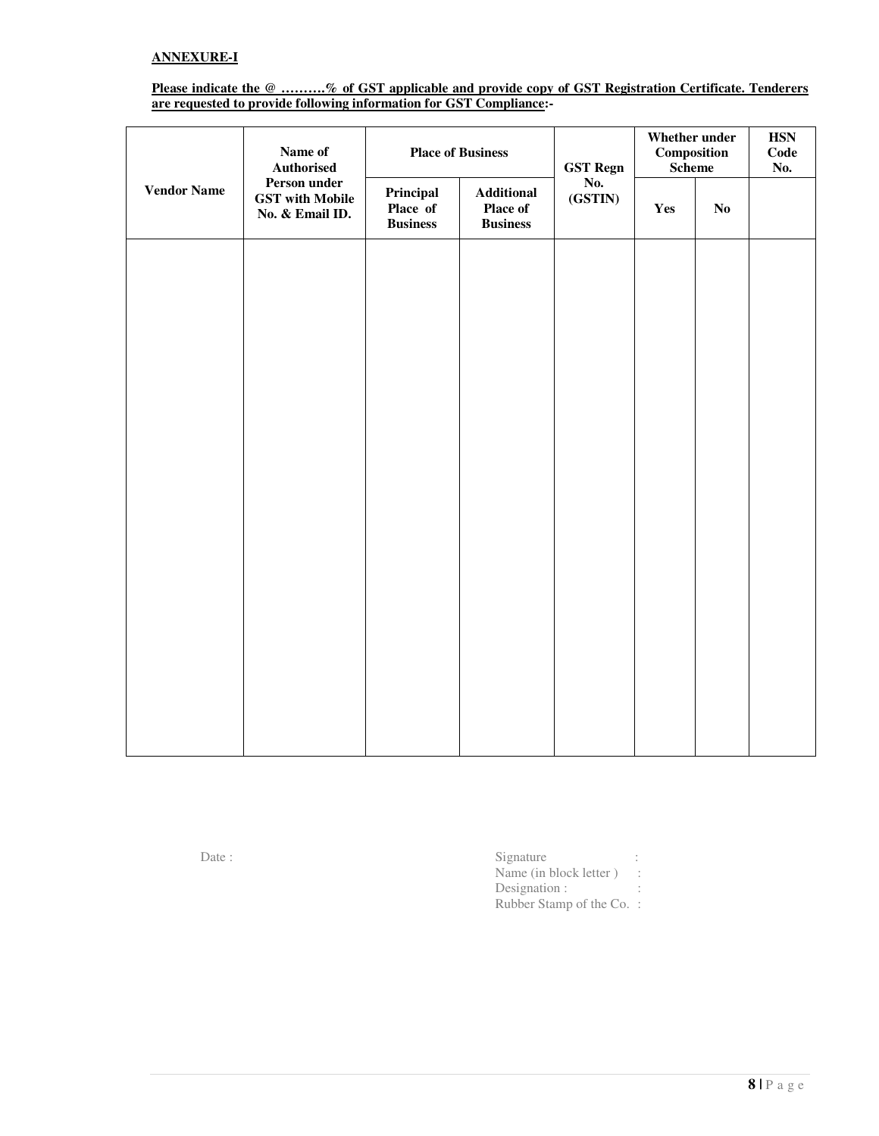## **Please indicate the @ ……….% of GST applicable and provide copy of GST Registration Certificate. Tenderers are requested to provide following information for GST Compliance:-**

|                    | Name of<br><b>Authorised</b>                              | <b>Place of Business</b>                 |                                                  | <b>GST Regn</b> | Whether under<br>Composition<br><b>Scheme</b> |    | $\operatorname{HSN}$<br>Code<br>No. |  |
|--------------------|-----------------------------------------------------------|------------------------------------------|--------------------------------------------------|-----------------|-----------------------------------------------|----|-------------------------------------|--|
| <b>Vendor Name</b> | Person under<br><b>GST</b> with Mobile<br>No. & Email ID. | Principal<br>Place of<br><b>Business</b> | <b>Additional</b><br>Place of<br><b>Business</b> | No.<br>(GSTIN)  | Yes                                           | No |                                     |  |
|                    |                                                           |                                          |                                                  |                 |                                               |    |                                     |  |
|                    |                                                           |                                          |                                                  |                 |                                               |    |                                     |  |
|                    |                                                           |                                          |                                                  |                 |                                               |    |                                     |  |
|                    |                                                           |                                          |                                                  |                 |                                               |    |                                     |  |
|                    |                                                           |                                          |                                                  |                 |                                               |    |                                     |  |
|                    |                                                           |                                          |                                                  |                 |                                               |    |                                     |  |
|                    |                                                           |                                          |                                                  |                 |                                               |    |                                     |  |
|                    |                                                           |                                          |                                                  |                 |                                               |    |                                     |  |
|                    |                                                           |                                          |                                                  |                 |                                               |    |                                     |  |

Date : Signature : Signature :  $\blacksquare$ Name (in block letter) : Designation : : Rubber Stamp of the Co. :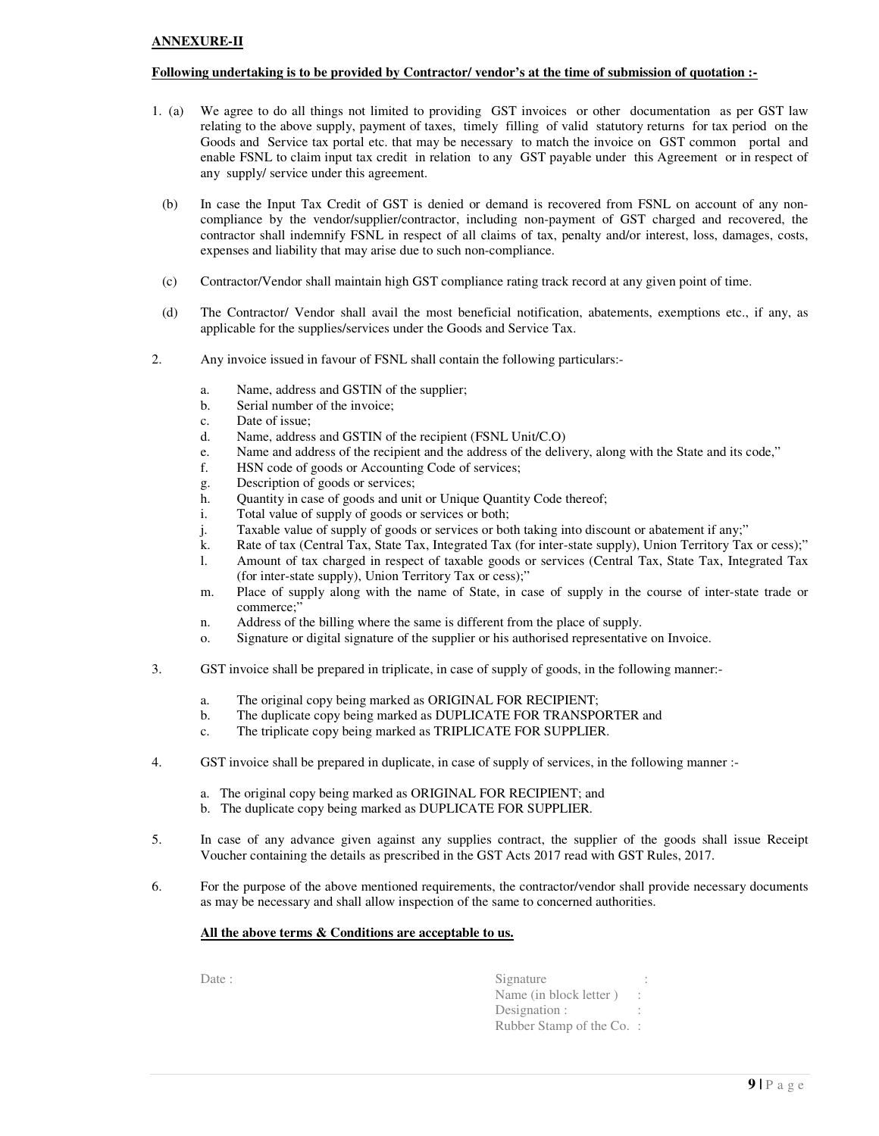#### **ANNEXURE-II**

#### **Following undertaking is to be provided by Contractor/ vendor's at the time of submission of quotation :-**

- 1. (a) We agree to do all things not limited to providing GST invoices or other documentation as per GST law relating to the above supply, payment of taxes, timely filling of valid statutory returns for tax period on the Goods and Service tax portal etc. that may be necessary to match the invoice on GST common portal and enable FSNL to claim input tax credit in relation to any GST payable under this Agreement or in respect of any supply/ service under this agreement.
- (b) In case the Input Tax Credit of GST is denied or demand is recovered from FSNL on account of any noncompliance by the vendor/supplier/contractor, including non-payment of GST charged and recovered, the contractor shall indemnify FSNL in respect of all claims of tax, penalty and/or interest, loss, damages, costs, expenses and liability that may arise due to such non-compliance.
- (c) Contractor/Vendor shall maintain high GST compliance rating track record at any given point of time.
- (d) The Contractor/ Vendor shall avail the most beneficial notification, abatements, exemptions etc., if any, as applicable for the supplies/services under the Goods and Service Tax.
- 2. Any invoice issued in favour of FSNL shall contain the following particulars:
	- a. Name, address and GSTIN of the supplier;
	- b. Serial number of the invoice;
	- c. Date of issue;
	- d. Name, address and GSTIN of the recipient (FSNL Unit/C.O)
	- e. Name and address of the recipient and the address of the delivery, along with the State and its code,"
	- f. HSN code of goods or Accounting Code of services;
	- g. Description of goods or services;
	- h. Quantity in case of goods and unit or Unique Quantity Code thereof;
	- i. Total value of supply of goods or services or both;
	- j. Taxable value of supply of goods or services or both taking into discount or abatement if any;"
	- k. Rate of tax (Central Tax, State Tax, Integrated Tax (for inter-state supply), Union Territory Tax or cess);"
	- l. Amount of tax charged in respect of taxable goods or services (Central Tax, State Tax, Integrated Tax (for inter-state supply), Union Territory Tax or cess);"
	- m. Place of supply along with the name of State, in case of supply in the course of inter-state trade or commerce:'
	- n. Address of the billing where the same is different from the place of supply.
	- o. Signature or digital signature of the supplier or his authorised representative on Invoice.
- 3. GST invoice shall be prepared in triplicate, in case of supply of goods, in the following manner:
	- a. The original copy being marked as ORIGINAL FOR RECIPIENT;
	- b. The duplicate copy being marked as DUPLICATE FOR TRANSPORTER and
	- c. The triplicate copy being marked as TRIPLICATE FOR SUPPLIER.
- 4. GST invoice shall be prepared in duplicate, in case of supply of services, in the following manner :
	- a. The original copy being marked as ORIGINAL FOR RECIPIENT; and
	- b. The duplicate copy being marked as DUPLICATE FOR SUPPLIER.
- 5. In case of any advance given against any supplies contract, the supplier of the goods shall issue Receipt Voucher containing the details as prescribed in the GST Acts 2017 read with GST Rules, 2017.
- 6. For the purpose of the above mentioned requirements, the contractor/vendor shall provide necessary documents as may be necessary and shall allow inspection of the same to concerned authorities.

#### **All the above terms & Conditions are acceptable to us.**

Date : Signature : Signature : Signature : Signature : Signature : Signature : Signature : Signature : Signature : Signature : Signature : Signature : Signature : Signature : Signature : Signature : Signature : Signature : Name (in block letter ) : Designation : Rubber Stamp of the Co. :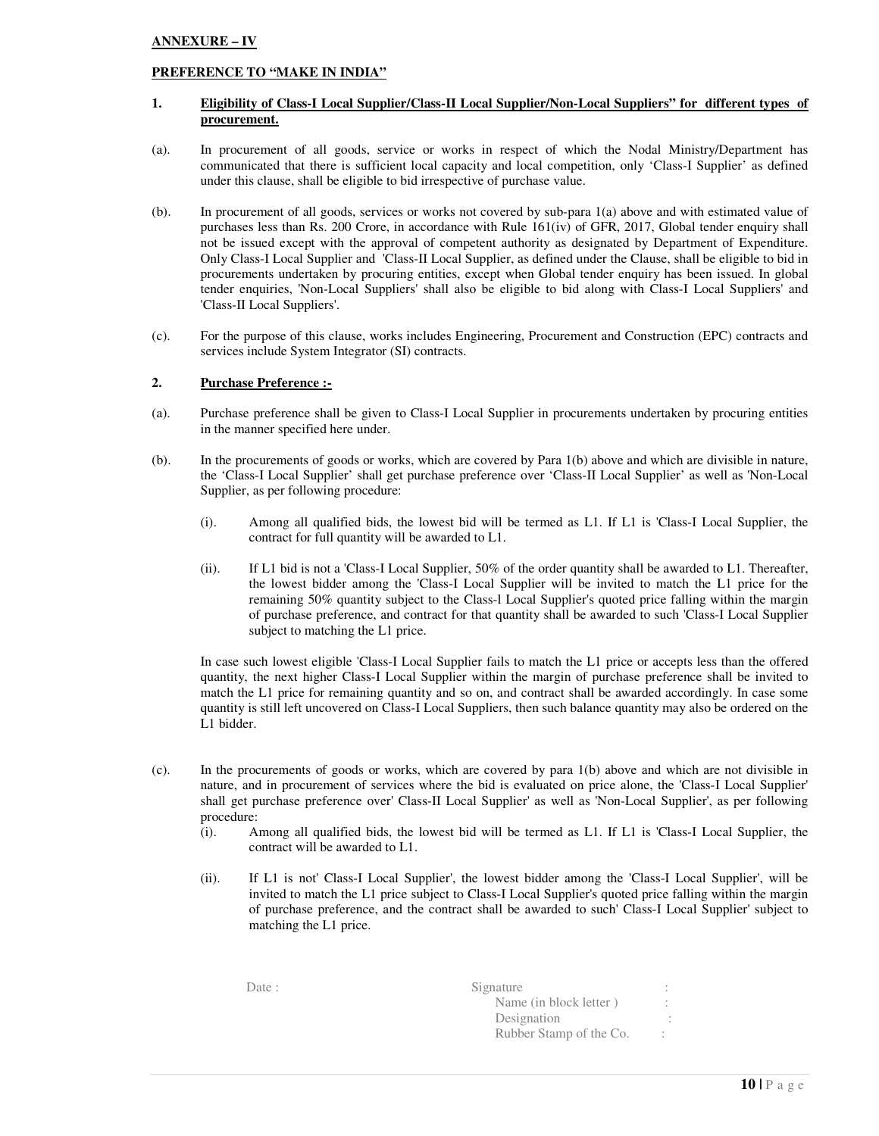### **ANNEXURE – IV**

#### **PREFERENCE TO "MAKE IN INDIA"**

### **1. Eligibility of Class-I Local Supplier/Class-II Local Supplier/Non-Local Suppliers" for different types of procurement.**

- (a). In procurement of all goods, service or works in respect of which the Nodal Ministry/Department has communicated that there is sufficient local capacity and local competition, only 'Class-I Supplier' as defined under this clause, shall be eligible to bid irrespective of purchase value.
- (b). In procurement of all goods, services or works not covered by sub-para 1(a) above and with estimated value of purchases less than Rs. 200 Crore, in accordance with Rule 161(iv) of GFR, 2017, Global tender enquiry shall not be issued except with the approval of competent authority as designated by Department of Expenditure. Only Class-I Local Supplier and 'Class-II Local Supplier, as defined under the Clause, shall be eligible to bid in procurements undertaken by procuring entities, except when Global tender enquiry has been issued. In global tender enquiries, 'Non-Local Suppliers' shall also be eligible to bid along with Class-I Local Suppliers' and 'Class-II Local Suppliers'.
- (c). For the purpose of this clause, works includes Engineering, Procurement and Construction (EPC) contracts and services include System Integrator (SI) contracts.

#### **2. Purchase Preference :-**

- (a). Purchase preference shall be given to Class-I Local Supplier in procurements undertaken by procuring entities in the manner specified here under.
- (b). In the procurements of goods or works, which are covered by Para 1(b) above and which are divisible in nature, the 'Class-I Local Supplier' shall get purchase preference over 'Class-II Local Supplier' as well as 'Non-Local Supplier, as per following procedure:
	- (i). Among all qualified bids, the lowest bid will be termed as L1. If L1 is 'Class-I Local Supplier, the contract for full quantity will be awarded to L1.
	- (ii). If L1 bid is not a 'Class-I Local Supplier, 50% of the order quantity shall be awarded to L1. Thereafter, the lowest bidder among the 'Class-I Local Supplier will be invited to match the L1 price for the remaining 50% quantity subject to the Class-l Local Supplier's quoted price falling within the margin of purchase preference, and contract for that quantity shall be awarded to such 'Class-I Local Supplier subject to matching the L1 price.

In case such lowest eligible 'Class-I Local Supplier fails to match the L1 price or accepts less than the offered quantity, the next higher Class-I Local Supplier within the margin of purchase preference shall be invited to match the L1 price for remaining quantity and so on, and contract shall be awarded accordingly. In case some quantity is still left uncovered on Class-I Local Suppliers, then such balance quantity may also be ordered on the L1 bidder.

- (c). In the procurements of goods or works, which are covered by para 1(b) above and which are not divisible in nature, and in procurement of services where the bid is evaluated on price alone, the 'Class-I Local Supplier' shall get purchase preference over' Class-II Local Supplier' as well as 'Non-Local Supplier', as per following procedure:
	- (i). Among all qualified bids, the lowest bid will be termed as L1. If L1 is 'Class-I Local Supplier, the contract will be awarded to L1.
	- (ii). If L1 is not' Class-I Local Supplier', the lowest bidder among the 'Class-I Local Supplier', will be invited to match the L1 price subject to Class-I Local Supplier's quoted price falling within the margin of purchase preference, and the contract shall be awarded to such' Class-I Local Supplier' subject to matching the L1 price.

| Date : | Signature               |  |
|--------|-------------------------|--|
|        | Name (in block letter)  |  |
|        | Designation             |  |
|        | Rubber Stamp of the Co. |  |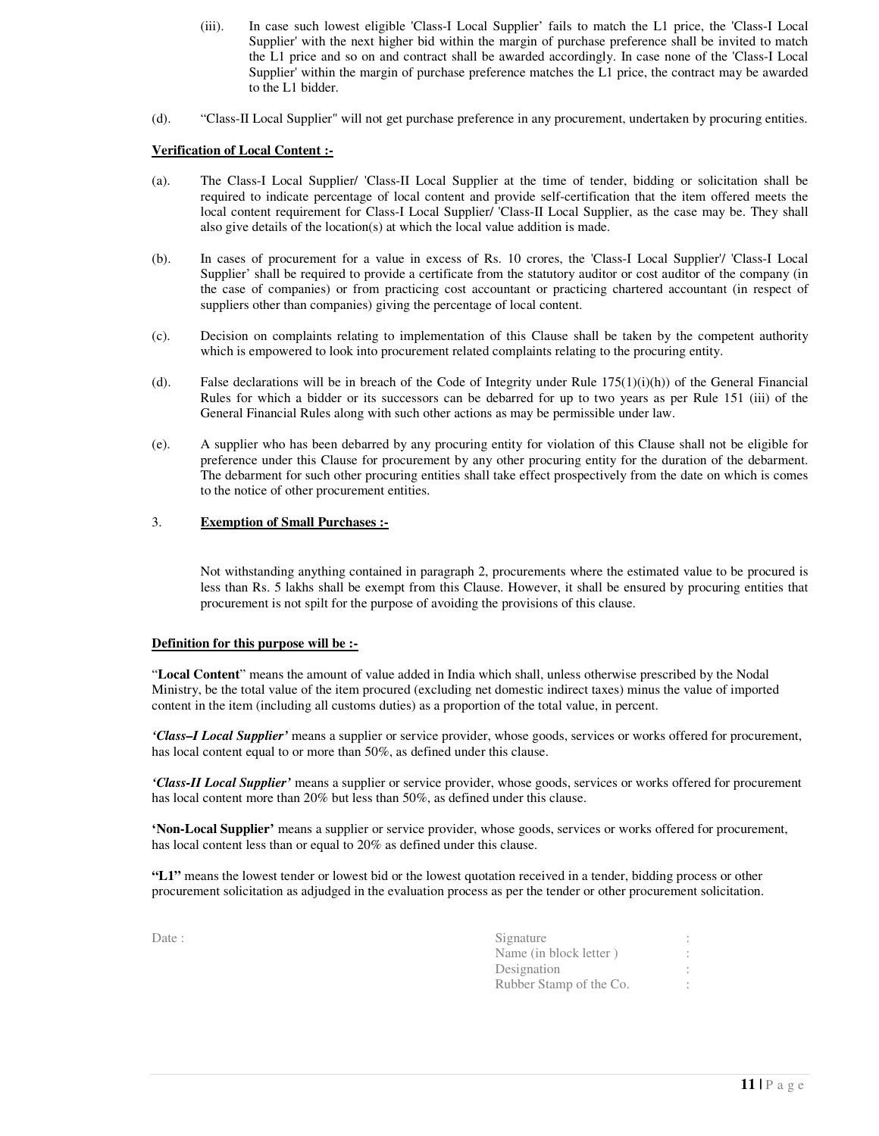- (iii). In case such lowest eligible 'Class-I Local Supplier' fails to match the L1 price, the 'Class-I Local Supplier' with the next higher bid within the margin of purchase preference shall be invited to match the L1 price and so on and contract shall be awarded accordingly. In case none of the 'Class-I Local Supplier' within the margin of purchase preference matches the L1 price, the contract may be awarded to the L1 bidder.
- (d). "Class-II Local Supplier" will not get purchase preference in any procurement, undertaken by procuring entities.

#### **Verification of Local Content :-**

- (a). The Class-I Local Supplier/ 'Class-II Local Supplier at the time of tender, bidding or solicitation shall be required to indicate percentage of local content and provide self-certification that the item offered meets the local content requirement for Class-I Local Supplier/ 'Class-II Local Supplier, as the case may be. They shall also give details of the location(s) at which the local value addition is made.
- (b). In cases of procurement for a value in excess of Rs. 10 crores, the 'Class-I Local Supplier'/ 'Class-I Local Supplier' shall be required to provide a certificate from the statutory auditor or cost auditor of the company (in the case of companies) or from practicing cost accountant or practicing chartered accountant (in respect of suppliers other than companies) giving the percentage of local content.
- (c). Decision on complaints relating to implementation of this Clause shall be taken by the competent authority which is empowered to look into procurement related complaints relating to the procuring entity.
- (d). False declarations will be in breach of the Code of Integrity under Rule  $175(1)(i)(h)$ ) of the General Financial Rules for which a bidder or its successors can be debarred for up to two years as per Rule 151 (iii) of the General Financial Rules along with such other actions as may be permissible under law.
- (e). A supplier who has been debarred by any procuring entity for violation of this Clause shall not be eligible for preference under this Clause for procurement by any other procuring entity for the duration of the debarment. The debarment for such other procuring entities shall take effect prospectively from the date on which is comes to the notice of other procurement entities.

## 3. **Exemption of Small Purchases :-**

Not withstanding anything contained in paragraph 2, procurements where the estimated value to be procured is less than Rs. 5 lakhs shall be exempt from this Clause. However, it shall be ensured by procuring entities that procurement is not spilt for the purpose of avoiding the provisions of this clause.

#### **Definition for this purpose will be :-**

"**Local Content**" means the amount of value added in India which shall, unless otherwise prescribed by the Nodal Ministry, be the total value of the item procured (excluding net domestic indirect taxes) minus the value of imported content in the item (including all customs duties) as a proportion of the total value, in percent.

*'Class–I Local Supplier'* means a supplier or service provider, whose goods, services or works offered for procurement, has local content equal to or more than 50%, as defined under this clause.

*'Class-II Local Supplier'* means a supplier or service provider, whose goods, services or works offered for procurement has local content more than 20% but less than 50%, as defined under this clause.

**'Non-Local Supplier'** means a supplier or service provider, whose goods, services or works offered for procurement, has local content less than or equal to 20% as defined under this clause.

**"L1"** means the lowest tender or lowest bid or the lowest quotation received in a tender, bidding process or other procurement solicitation as adjudged in the evaluation process as per the tender or other procurement solicitation.

| Date : | Signature               |  |
|--------|-------------------------|--|
|        | Name (in block letter)  |  |
|        | Designation             |  |
|        | Rubber Stamp of the Co. |  |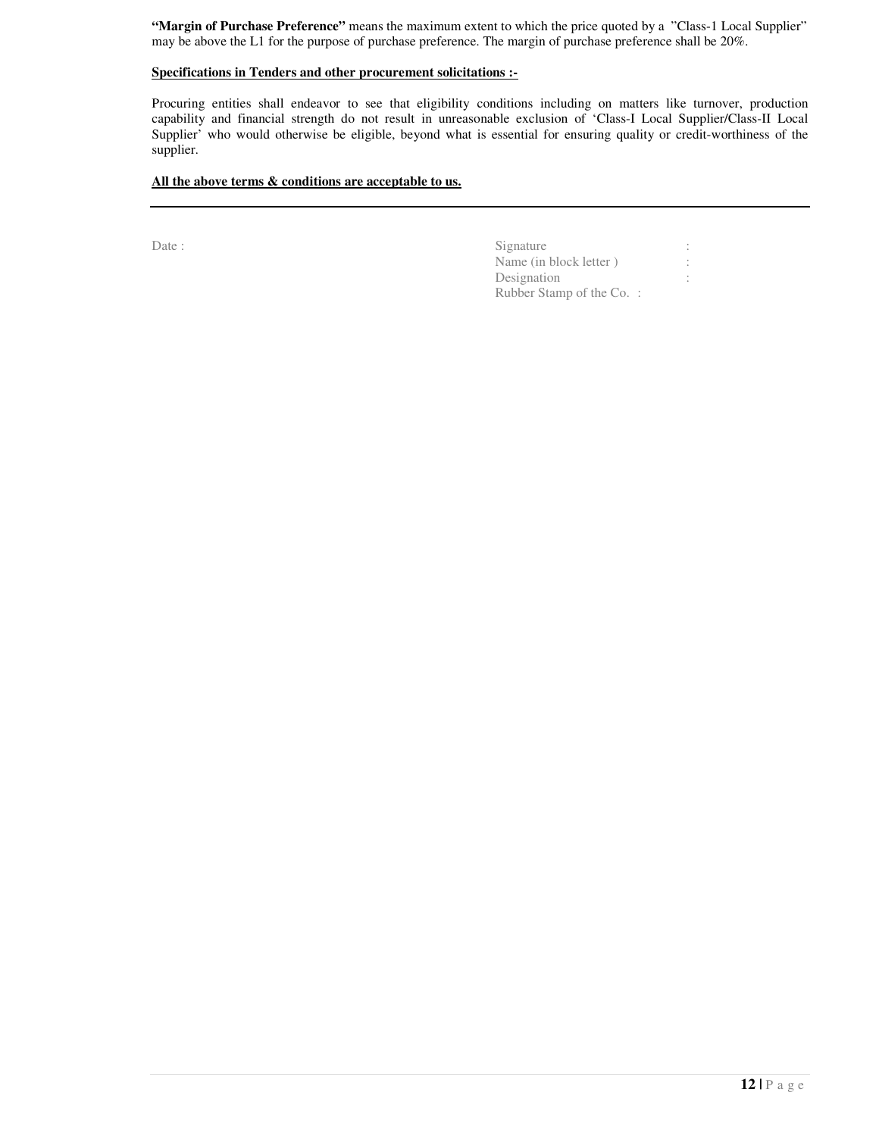**"Margin of Purchase Preference"** means the maximum extent to which the price quoted by a "Class-1 Local Supplier" may be above the L1 for the purpose of purchase preference. The margin of purchase preference shall be 20%.

## **Specifications in Tenders and other procurement solicitations :-**

Procuring entities shall endeavor to see that eligibility conditions including on matters like turnover, production capability and financial strength do not result in unreasonable exclusion of 'Class-I Local Supplier/Class-II Local Supplier' who would otherwise be eligible, beyond what is essential for ensuring quality or credit-worthiness of the supplier.

# **All the above terms & conditions are acceptable to us.**

| Date : | Signature                 |  |
|--------|---------------------------|--|
|        | Name (in block letter)    |  |
|        | Designation               |  |
|        | Rubber Stamp of the Co. : |  |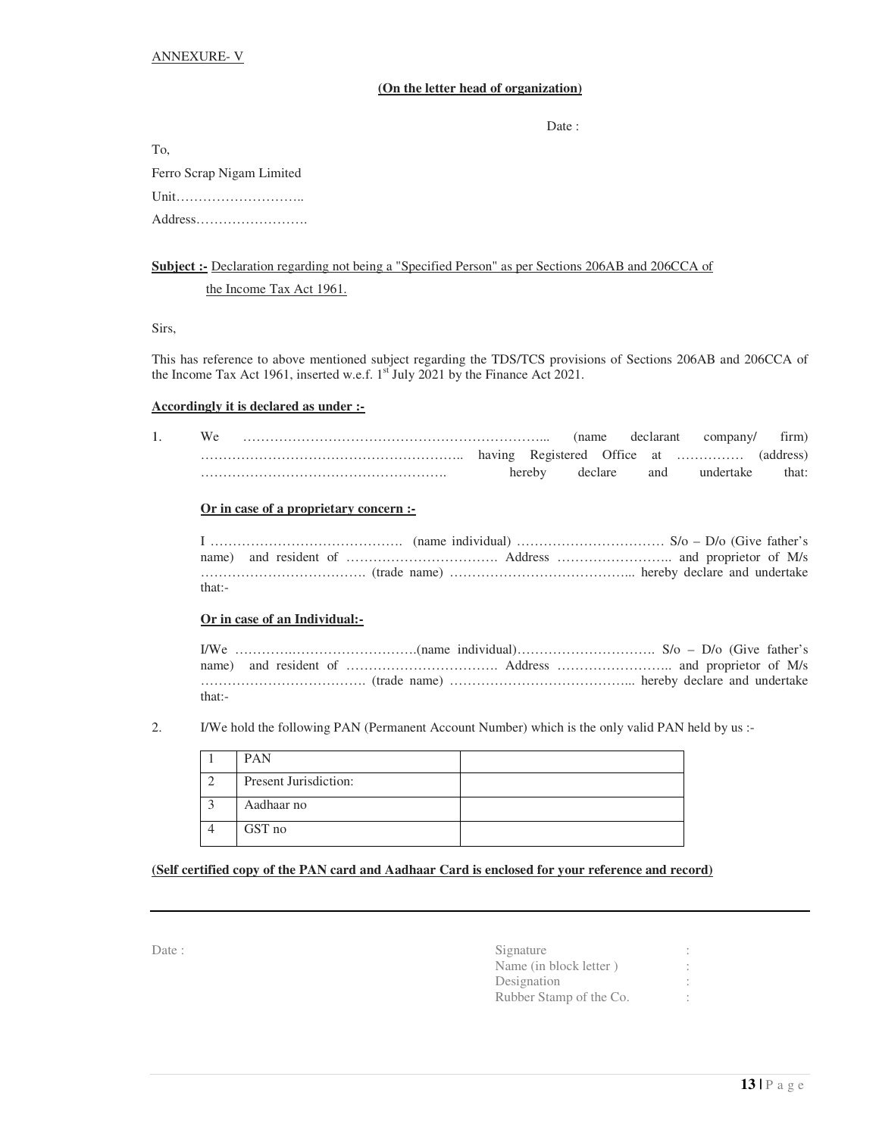## **(On the letter head of organization)**

Date :

| To.                       |
|---------------------------|
| Ferro Scrap Nigam Limited |
| Unit                      |
|                           |

# **Subject :-** Declaration regarding not being a "Specified Person" as per Sections 206AB and 206CCA of

the Income Tax Act 1961.

Sirs,

This has reference to above mentioned subject regarding the TDS/TCS provisions of Sections 206AB and 206CCA of the Income Tax Act 1961, inserted w.e.f.  $1^{st}$  July 2021 by the Finance Act 2021.

#### **Accordingly it is declared as under :-**

|  |  |        | 'name   | declarant | company/                    | firm)     |
|--|--|--------|---------|-----------|-----------------------------|-----------|
|  |  |        |         |           | having Registered Office at | (address) |
|  |  | herebv | declare | and       | undertake                   | that:     |

#### **Or in case of a proprietary concern :-**

| that:- |  |  |  |  |
|--------|--|--|--|--|

#### **Or in case of an Individual:-**

| that: |  |  |  |  |  |  |
|-------|--|--|--|--|--|--|

#### 2. I/We hold the following PAN (Permanent Account Number) which is the only valid PAN held by us :-

|           | <b>PAN</b>                   |  |
|-----------|------------------------------|--|
| $\bigcap$ | <b>Present Jurisdiction:</b> |  |
| $\bigcap$ | Aadhaar no                   |  |
|           | GST no                       |  |

## **(Self certified copy of the PAN card and Aadhaar Card is enclosed for your reference and record)**

| ٧ | ٧<br>. | × |
|---|--------|---|
|   |        |   |

| Date : | Signature               |  |
|--------|-------------------------|--|
|        | Name (in block letter)  |  |
|        | Designation             |  |
|        | Rubber Stamp of the Co. |  |